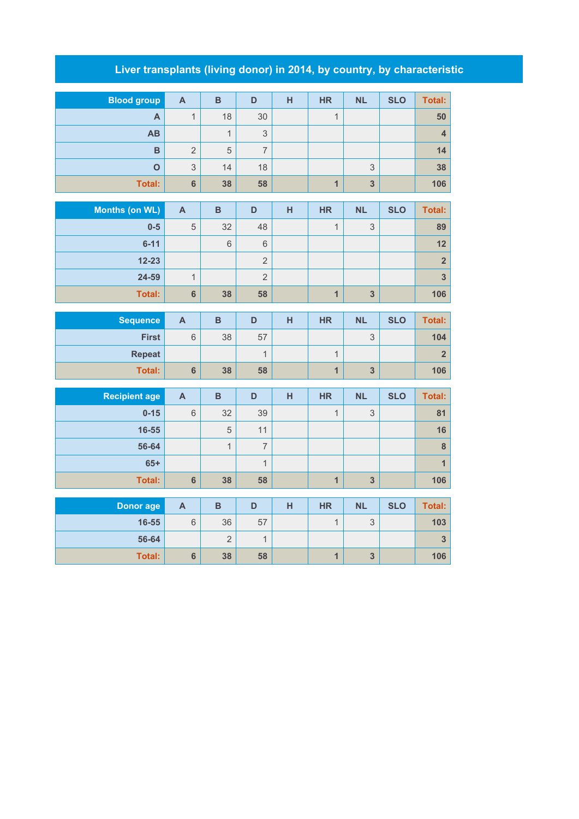## **Liver transplants (living donor) in 2014, by country, by characteristic**

| <b>Blood group</b>    | $\overline{\mathsf{A}}$ | $\overline{B}$ | D              | H | <b>HR</b>               | <b>NL</b>                 | <b>SLO</b> | <b>Total:</b>           |
|-----------------------|-------------------------|----------------|----------------|---|-------------------------|---------------------------|------------|-------------------------|
| $\mathbf{A}$          | $\mathbf{1}$            | 18             | 30             |   | $\mathbf{1}$            |                           |            | 50                      |
| AB                    |                         | $\mathbf{1}$   | $\mathsf 3$    |   |                         |                           |            | $\overline{\mathbf{4}}$ |
| B                     | $\overline{2}$          | 5              | $\overline{7}$ |   |                         |                           |            | 14                      |
| $\overline{O}$        | 3                       | 14             | 18             |   |                         | 3                         |            | 38                      |
| <b>Total:</b>         | 6                       | 38             | 58             |   | $\overline{1}$          | $\overline{\mathbf{3}}$   |            | 106                     |
|                       |                         |                |                |   |                         |                           |            |                         |
| <b>Months (on WL)</b> | $\mathbf{A}$            | $\, {\bf B}$   | $\mathsf D$    | H | <b>HR</b>               | <b>NL</b>                 | <b>SLO</b> | <b>Total:</b>           |
| $0-5$                 | 5                       | 32             | 48             |   | $\mathbf{1}$            | 3                         |            | 89                      |
| $6 - 11$              |                         | $\,$ 6 $\,$    | $\,$ 6 $\,$    |   |                         |                           |            | 12                      |
| $12 - 23$             |                         |                | $\sqrt{2}$     |   |                         |                           |            | $\overline{\mathbf{2}}$ |
| 24-59                 | $\mathbf{1}$            |                | $\overline{2}$ |   |                         |                           |            | $\overline{\mathbf{3}}$ |
| <b>Total:</b>         | $6\phantom{a}$          | 38             | 58             |   | $\overline{1}$          | $\overline{\mathbf{3}}$   |            | 106                     |
| <b>Sequence</b>       | $\overline{\mathsf{A}}$ | $\overline{B}$ | D              | H | <b>HR</b>               | <b>NL</b>                 | <b>SLO</b> | <b>Total:</b>           |
| <b>First</b>          | $\overline{6}$          | 38             | 57             |   |                         | 3                         |            | 104                     |
| <b>Repeat</b>         |                         |                | $\overline{1}$ |   | $\overline{1}$          |                           |            | $\overline{\mathbf{2}}$ |
| <b>Total:</b>         | $\bf 6$                 | 38             | 58             |   | $\overline{1}$          | $\overline{\mathbf{3}}$   |            | 106                     |
|                       |                         |                |                |   |                         |                           |            |                         |
| <b>Recipient age</b>  | $\overline{\mathsf{A}}$ | $\overline{B}$ | D              | H | <b>HR</b>               | <b>NL</b>                 | <b>SLO</b> | <b>Total:</b>           |
| $0 - 15$              | $\sqrt{6}$              | 32             | 39             |   | $\overline{1}$          | $\mathfrak{S}$            |            | 81                      |
| 16-55                 |                         | 5              | 11             |   |                         |                           |            | 16                      |
| 56-64                 |                         | $\mathbf{1}$   | $\overline{7}$ |   |                         |                           |            | $\bf8$                  |
| $65+$                 |                         |                | $\mathbf{1}$   |   |                         |                           |            | $\overline{1}$          |
| Total:                | $6\phantom{a}$          | 38             | 58             |   | $\mathbf{1}$            | $\mathbf{3}$              |            | 106                     |
| <b>Donor age</b>      | $\overline{\mathsf{A}}$ | $\, {\bf B}$   | D              | H | <b>HR</b>               | <b>NL</b>                 | <b>SLO</b> | <b>Total:</b>           |
| 16-55                 | $6\,$                   | 36             | 57             |   | $\overline{1}$          | $\ensuremath{\mathsf{3}}$ |            | 103                     |
|                       |                         |                |                |   |                         |                           |            |                         |
| 56-64                 |                         | $\overline{2}$ | $\mathbf{1}$   |   |                         |                           |            | $\overline{\mathbf{3}}$ |
| <b>Total:</b>         | $6\phantom{a}$          | 38             | 58             |   | $\overline{\mathbf{1}}$ | $\mathbf{3}$              |            | 106                     |